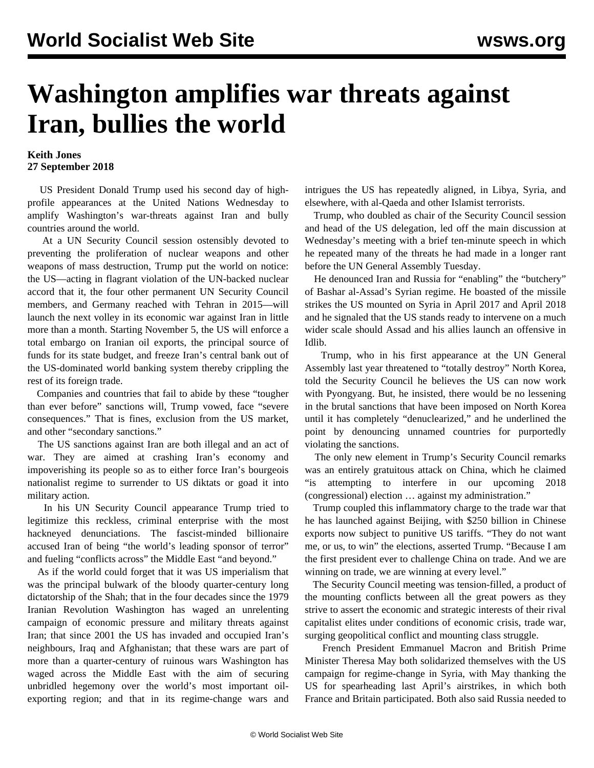## **Washington amplifies war threats against Iran, bullies the world**

## **Keith Jones 27 September 2018**

 US President Donald Trump used his second day of highprofile appearances at the United Nations Wednesday to amplify Washington's war-threats against Iran and bully countries around the world.

 At a UN Security Council session ostensibly devoted to preventing the proliferation of nuclear weapons and other weapons of mass destruction, Trump put the world on notice: the US—acting in flagrant violation of the UN-backed nuclear accord that it, the four other permanent UN Security Council members, and Germany reached with Tehran in 2015—will launch the next volley in its economic war against Iran in little more than a month. Starting November 5, the US will enforce a total embargo on Iranian oil exports, the principal source of funds for its state budget, and freeze Iran's central bank out of the US-dominated world banking system thereby crippling the rest of its foreign trade.

 Companies and countries that fail to abide by these "tougher than ever before" sanctions will, Trump vowed, face "severe consequences." That is fines, exclusion from the US market, and other "secondary sanctions."

 The US sanctions against Iran are both illegal and an act of war. They are aimed at crashing Iran's economy and impoverishing its people so as to either force Iran's bourgeois nationalist regime to surrender to US diktats or goad it into military action.

 In his UN Security Council appearance Trump tried to legitimize this reckless, criminal enterprise with the most hackneyed denunciations. The fascist-minded billionaire accused Iran of being "the world's leading sponsor of terror" and fueling "conflicts across" the Middle East "and beyond."

 As if the world could forget that it was US imperialism that was the principal bulwark of the bloody quarter-century long dictatorship of the Shah; that in the four decades since the 1979 Iranian Revolution Washington has waged an unrelenting campaign of economic pressure and military threats against Iran; that since 2001 the US has invaded and occupied Iran's neighbours, Iraq and Afghanistan; that these wars are part of more than a quarter-century of ruinous wars Washington has waged across the Middle East with the aim of securing unbridled hegemony over the world's most important oilexporting region; and that in its regime-change wars and intrigues the US has repeatedly aligned, in Libya, Syria, and elsewhere, with al-Qaeda and other Islamist terrorists.

 Trump, who doubled as chair of the Security Council session and head of the US delegation, led off the main discussion at Wednesday's meeting with a brief ten-minute speech in which he repeated many of the threats he had made in a longer rant before the UN General Assembly Tuesday.

 He denounced Iran and Russia for "enabling" the "butchery" of Bashar al-Assad's Syrian regime. He boasted of the missile strikes the US mounted on Syria in April 2017 and April 2018 and he signaled that the US stands ready to intervene on a much wider scale should Assad and his allies launch an offensive in Idlib.

 Trump, who in his first appearance at the UN General Assembly last year threatened to "totally destroy" North Korea, told the Security Council he believes the US can now work with Pyongyang. But, he insisted, there would be no lessening in the brutal sanctions that have been imposed on North Korea until it has completely "denuclearized," and he underlined the point by denouncing unnamed countries for purportedly violating the sanctions.

 The only new element in Trump's Security Council remarks was an entirely gratuitous attack on China, which he claimed "is attempting to interfere in our upcoming 2018 (congressional) election … against my administration."

 Trump coupled this inflammatory charge to the trade war that he has launched against Beijing, with \$250 billion in Chinese exports now subject to punitive US tariffs. "They do not want me, or us, to win" the elections, asserted Trump. "Because I am the first president ever to challenge China on trade. And we are winning on trade, we are winning at every level."

 The Security Council meeting was tension-filled, a product of the mounting conflicts between all the great powers as they strive to assert the economic and strategic interests of their rival capitalist elites under conditions of economic crisis, trade war, surging geopolitical conflict and mounting class struggle.

 French President Emmanuel Macron and British Prime Minister Theresa May both solidarized themselves with the US campaign for regime-change in Syria, with May thanking the US for spearheading last April's airstrikes, in which both France and Britain participated. Both also said Russia needed to